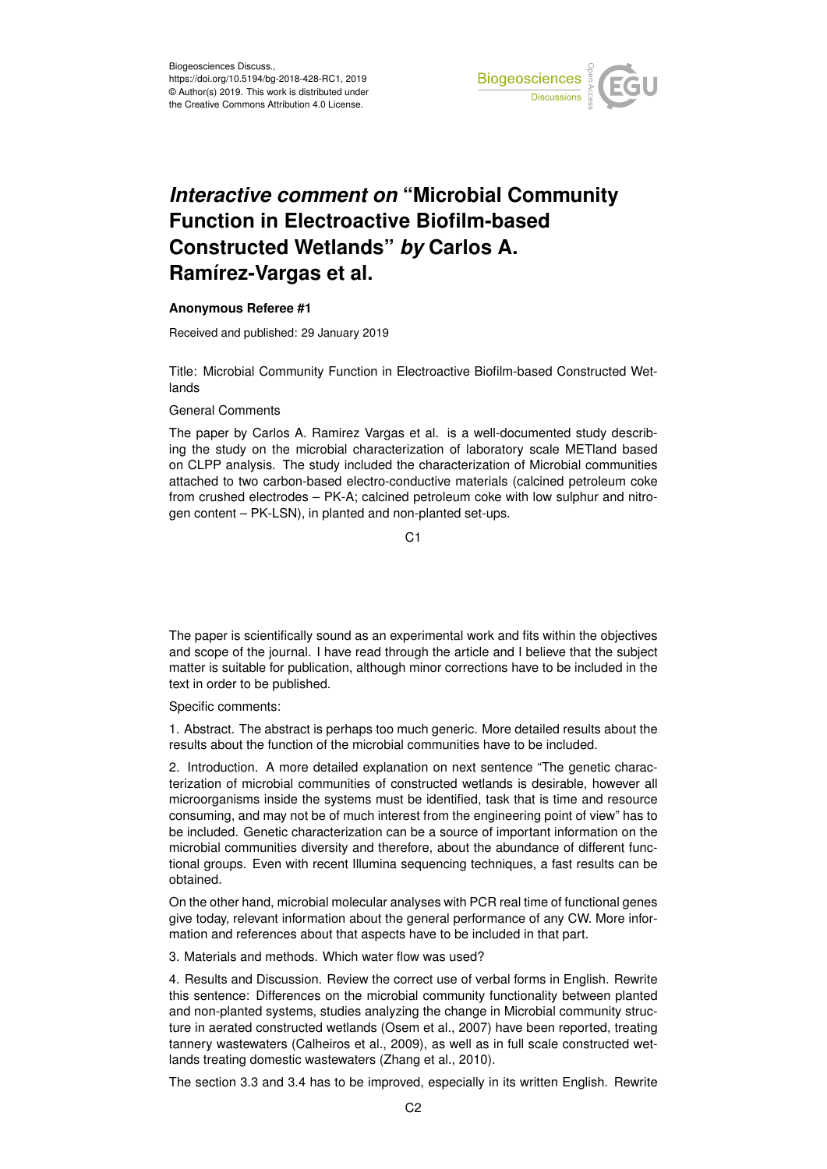

## *Interactive comment on* **"Microbial Community Function in Electroactive Biofilm-based Constructed Wetlands"** *by* **Carlos A. Ramírez-Vargas et al.**

## **Anonymous Referee #1**

Received and published: 29 January 2019

Title: Microbial Community Function in Electroactive Biofilm-based Constructed Wetlands

## General Comments

The paper by Carlos A. Ramirez Vargas et al. is a well-documented study describing the study on the microbial characterization of laboratory scale METland based on CLPP analysis. The study included the characterization of Microbial communities attached to two carbon-based electro-conductive materials (calcined petroleum coke from crushed electrodes – PK-A; calcined petroleum coke with low sulphur and nitrogen content – PK-LSN), in planted and non-planted set-ups.

C<sub>1</sub>

The paper is scientifically sound as an experimental work and fits within the objectives and scope of the journal. I have read through the article and I believe that the subject matter is suitable for publication, although minor corrections have to be included in the text in order to be published.

Specific comments:

1. Abstract. The abstract is perhaps too much generic. More detailed results about the results about the function of the microbial communities have to be included.

2. Introduction. A more detailed explanation on next sentence "The genetic characterization of microbial communities of constructed wetlands is desirable, however all microorganisms inside the systems must be identified, task that is time and resource consuming, and may not be of much interest from the engineering point of view" has to be included. Genetic characterization can be a source of important information on the microbial communities diversity and therefore, about the abundance of different functional groups. Even with recent Illumina sequencing techniques, a fast results can be obtained.

On the other hand, microbial molecular analyses with PCR real time of functional genes give today, relevant information about the general performance of any CW. More information and references about that aspects have to be included in that part.

3. Materials and methods. Which water flow was used?

4. Results and Discussion. Review the correct use of verbal forms in English. Rewrite this sentence: Differences on the microbial community functionality between planted and non-planted systems, studies analyzing the change in Microbial community structure in aerated constructed wetlands (Osem et al., 2007) have been reported, treating tannery wastewaters (Calheiros et al., 2009), as well as in full scale constructed wetlands treating domestic wastewaters (Zhang et al., 2010).

The section 3.3 and 3.4 has to be improved, especially in its written English. Rewrite